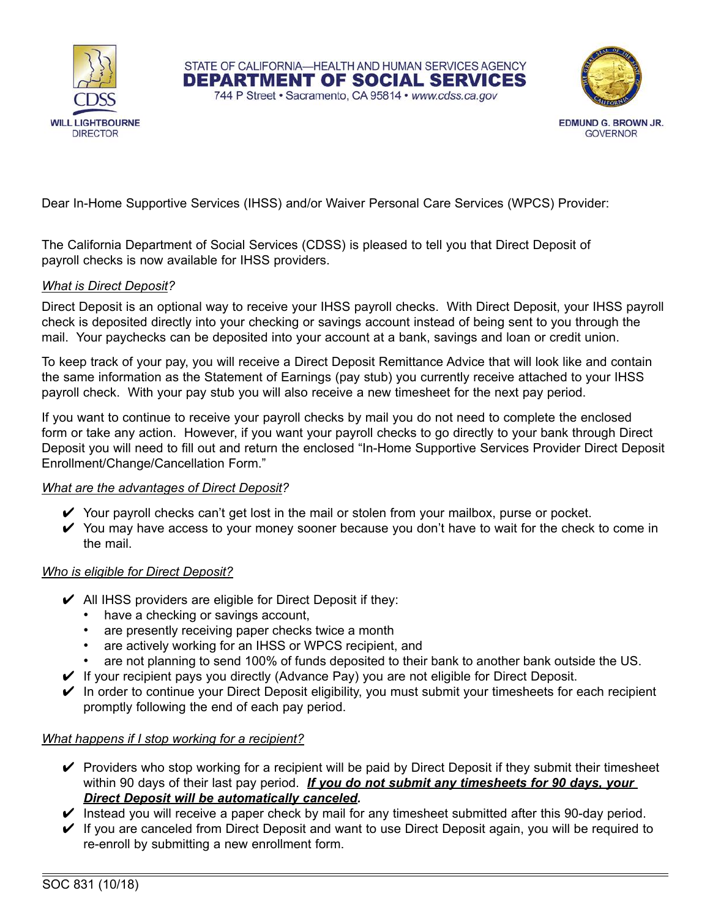



Dear In-Home Supportive Services (IHSS) and/or Waiver Personal Care Services (WPCS) Provider:

The California Department of Social Services (CDSS) is pleased to tell you that Direct Deposit of payroll checks is now available for IHSS providers.

## *What is Direct Deposit?*

Direct Deposit is an optional way to receive your IHSS payroll checks. With Direct Deposit, your IHSS payroll check is deposited directly into your checking or savings account instead of being sent to you through the mail. Your paychecks can be deposited into your account at a bank, savings and loan or credit union.

STATE OF CALIFORNIA-HEALTH AND HUMAN SERVICES AGENCY **DEPARTMENT OF SOCIAL SERVICES** 744 P Street · Sacramento, CA 95814 · www.cdss.ca.gov

To keep track of your pay, you will receive a Direct Deposit Remittance Advice that will look like and contain the same information as the Statement of Earnings (pay stub) you currently receive attached to your IHSS payroll check. With your pay stub you will also receive a new timesheet for the next pay period.

If you want to continue to receive your payroll checks by mail you do not need to complete the enclosed form or take any action. However, if you want your payroll checks to go directly to your bank through Direct Deposit you will need to fill out and return the enclosed "In-Home Supportive Services Provider Direct Deposit Enrollment/Change/Cancellation Form."

#### *What are the advantages of Direct Deposit?*

- $\checkmark$  Your payroll checks can't get lost in the mail or stolen from your mailbox, purse or pocket.
- $\checkmark$  You may have access to your money sooner because you don't have to wait for the check to come in the mail.

#### *Who is eligible for Direct Deposit?*

- $\vee$  All IHSS providers are eligible for Direct Deposit if they:
	- have a checking or savings account,
	- are presently receiving paper checks twice a month
	- are actively working for an IHSS or WPCS recipient, and
	- are not planning to send 100% of funds deposited to their bank to another bank outside the US.
- $\blacktriangleright$  If your recipient pays you directly (Advance Pay) you are not eligible for Direct Deposit.
- $\checkmark$  In order to continue your Direct Deposit eligibility, you must submit your timesheets for each recipient promptly following the end of each pay period.

#### *What happens if I stop working for a recipient?*

- $\triangledown$  Providers who stop working for a recipient will be paid by Direct Deposit if they submit their timesheet within 90 days of their last pay period. *If you do not submit any timesheets for 90 days, your Direct Deposit will be automatically canceled.*
- $\blacktriangleright$  Instead you will receive a paper check by mail for any timesheet submitted after this 90-day period.
- ✔ If you are canceled from Direct Deposit and want to use Direct Deposit again, you will be required to re-enroll by submitting a new enrollment form.